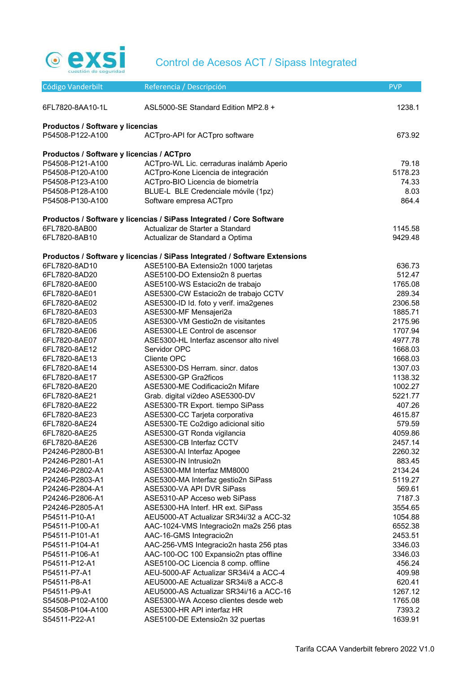

| ASL5000-SE Standard Edition MP2.8 +<br>1238.1<br>6FL7820-8AA10-1L<br>Productos / Software y licencias<br>P54508-P122-A100<br>ACTpro-API for ACTpro software<br>673.92<br>Productos / Software y licencias / ACTpro<br>ACTpro-WL Lic. cerraduras inalámb Aperio<br>79.18<br>P54508-P121-A100<br>5178.23<br>P54508-P120-A100<br>ACTpro-Kone Licencia de integración<br>ACTpro-BIO Licencia de biometría<br>74.33<br>P54508-P123-A100<br>BLUE-L BLE Credenciale móvile (1pz)<br>8.03<br>P54508-P128-A100<br>864.4<br>P54508-P130-A100<br>Software empresa ACTpro<br>Productos / Software y licencias / SiPass Integrated / Core Software<br>6FL7820-8AB00<br>Actualizar de Starter a Standard<br>1145.58<br>6FL7820-8AB10<br>9429.48<br>Actualizar de Standard a Optima<br>Productos / Software y licencias / SiPass Integrated / Software Extensions<br>636.73<br>6FL7820-8AD10<br>ASE5100-BA Extensio2n 1000 tarjetas<br>512.47<br>6FL7820-8AD20<br>ASE5100-DO Extensio2n 8 puertas<br>1765.08<br>6FL7820-8AE00<br>ASE5100-WS Estacio2n de trabajo<br>6FL7820-8AE01<br>ASE5300-CW Estacio2n de trabajo CCTV<br>289.34<br>ASE5300-ID Id. foto y verif. ima2genes<br>2306.58<br>6FL7820-8AE02<br>ASE5300-MF Mensajeri2a<br>1885.71<br>6FL7820-8AE03<br>ASE5300-VM Gestio2n de visitantes<br>2175.96<br>6FL7820-8AE05<br>ASE5300-LE Control de ascensor<br>1707.94<br>6FL7820-8AE06<br>ASE5300-HL Interfaz ascensor alto nivel<br>4977.78<br>6FL7820-8AE07<br>Servidor OPC<br>1668.03<br>6FL7820-8AE12<br>1668.03<br>6FL7820-8AE13<br>Cliente OPC<br>6FL7820-8AE14<br>ASE5300-DS Herram, sincr, datos<br>1307.03<br>6FL7820-8AE17<br>ASE5300-GP Gra2ficos<br>1138.32<br>ASE5300-ME Codificacio2n Mifare<br>1002.27<br>6FL7820-8AE20<br>Grab. digital vi2deo ASE5300-DV<br>5221.77<br>6FL7820-8AE21<br>ASE5300-TR Export. tiempo SiPass<br>407.26<br>6FL7820-8AE22<br>ASE5300-CC Tarjeta corporativa<br>6FL7820-8AE23<br>4615.87<br>ASE5300-TE Co2digo adicional sitio<br>579.59<br>6FL7820-8AE24<br>ASE5300-GT Ronda vigilancia<br>4059.86<br>6FL7820-8AE25<br>6FL7820-8AE26<br>ASE5300-CB Interfaz CCTV<br>2457.14<br>P24246-P2800-B1<br>2260.32<br>ASE5300-AI Interfaz Apogee<br>ASE5300-IN Intrusio2n<br>883.45<br>P24246-P2801-A1<br>ASE5300-MM Interfaz MM8000<br>2134.24<br>P24246-P2802-A1<br>P24246-P2803-A1<br>ASE5300-MA Interfaz gestio2n SiPass<br>5119.27<br>P24246-P2804-A1<br>ASE5300-VA API DVR SiPass<br>569.61<br>ASE5310-AP Acceso web SiPass<br>7187.3<br>P24246-P2806-A1<br>ASE5300-HA Interf. HR ext. SiPass<br>P24246-P2805-A1<br>3554.65<br>AEU5000-AT Actualizar SR34i/32 a ACC-32<br>P54511-P10-A1<br>1054.88<br>AAC-1024-VMS Integracio2n ma2s 256 ptas<br>6552.38<br>P54511-P100-A1<br>AAC-16-GMS Integracio2n<br>P54511-P101-A1<br>2453.51<br>AAC-256-VMS Integracio2n hasta 256 ptas<br>P54511-P104-A1<br>3346.03<br>AAC-100-OC 100 Expansio2n ptas offline<br>P54511-P106-A1<br>3346.03<br>ASE5100-OC Licencia 8 comp. offline<br>456.24<br>P54511-P12-A1<br>AEU-5000-AF Actualizar SR34i/4 a ACC-4<br>P54511-P7-A1<br>409.98<br>AEU5000-AE Actualizar SR34i/8 a ACC-8<br>620.41<br>P54511-P8-A1<br>AEU5000-AS Actualizar SR34i/16 a ACC-16<br>1267.12<br>P54511-P9-A1<br>ASE5300-WA Acceso clientes desde web<br>1765.08<br>S54508-P102-A100<br>ASE5300-HR API interfaz HR<br>7393.2<br>S54508-P104-A100<br>ASE5100-DE Extensio2n 32 puertas<br>1639.91<br>S54511-P22-A1 | Código Vanderbilt | Referencia / Descripción | <b>PVP</b> |
|------------------------------------------------------------------------------------------------------------------------------------------------------------------------------------------------------------------------------------------------------------------------------------------------------------------------------------------------------------------------------------------------------------------------------------------------------------------------------------------------------------------------------------------------------------------------------------------------------------------------------------------------------------------------------------------------------------------------------------------------------------------------------------------------------------------------------------------------------------------------------------------------------------------------------------------------------------------------------------------------------------------------------------------------------------------------------------------------------------------------------------------------------------------------------------------------------------------------------------------------------------------------------------------------------------------------------------------------------------------------------------------------------------------------------------------------------------------------------------------------------------------------------------------------------------------------------------------------------------------------------------------------------------------------------------------------------------------------------------------------------------------------------------------------------------------------------------------------------------------------------------------------------------------------------------------------------------------------------------------------------------------------------------------------------------------------------------------------------------------------------------------------------------------------------------------------------------------------------------------------------------------------------------------------------------------------------------------------------------------------------------------------------------------------------------------------------------------------------------------------------------------------------------------------------------------------------------------------------------------------------------------------------------------------------------------------------------------------------------------------------------------------------------------------------------------------------------------------------------------------------------------------------------------------------------------------------------------------------------------------------------------------------------------------------------------------------------------------------------------------------------------------------------------------------------------------------------------------------------------------------------------------------------------------------------------------------------------------------------------------------------------------------|-------------------|--------------------------|------------|
|                                                                                                                                                                                                                                                                                                                                                                                                                                                                                                                                                                                                                                                                                                                                                                                                                                                                                                                                                                                                                                                                                                                                                                                                                                                                                                                                                                                                                                                                                                                                                                                                                                                                                                                                                                                                                                                                                                                                                                                                                                                                                                                                                                                                                                                                                                                                                                                                                                                                                                                                                                                                                                                                                                                                                                                                                                                                                                                                                                                                                                                                                                                                                                                                                                                                                                                                                                                                      |                   |                          |            |
|                                                                                                                                                                                                                                                                                                                                                                                                                                                                                                                                                                                                                                                                                                                                                                                                                                                                                                                                                                                                                                                                                                                                                                                                                                                                                                                                                                                                                                                                                                                                                                                                                                                                                                                                                                                                                                                                                                                                                                                                                                                                                                                                                                                                                                                                                                                                                                                                                                                                                                                                                                                                                                                                                                                                                                                                                                                                                                                                                                                                                                                                                                                                                                                                                                                                                                                                                                                                      |                   |                          |            |
|                                                                                                                                                                                                                                                                                                                                                                                                                                                                                                                                                                                                                                                                                                                                                                                                                                                                                                                                                                                                                                                                                                                                                                                                                                                                                                                                                                                                                                                                                                                                                                                                                                                                                                                                                                                                                                                                                                                                                                                                                                                                                                                                                                                                                                                                                                                                                                                                                                                                                                                                                                                                                                                                                                                                                                                                                                                                                                                                                                                                                                                                                                                                                                                                                                                                                                                                                                                                      |                   |                          |            |
|                                                                                                                                                                                                                                                                                                                                                                                                                                                                                                                                                                                                                                                                                                                                                                                                                                                                                                                                                                                                                                                                                                                                                                                                                                                                                                                                                                                                                                                                                                                                                                                                                                                                                                                                                                                                                                                                                                                                                                                                                                                                                                                                                                                                                                                                                                                                                                                                                                                                                                                                                                                                                                                                                                                                                                                                                                                                                                                                                                                                                                                                                                                                                                                                                                                                                                                                                                                                      |                   |                          |            |
|                                                                                                                                                                                                                                                                                                                                                                                                                                                                                                                                                                                                                                                                                                                                                                                                                                                                                                                                                                                                                                                                                                                                                                                                                                                                                                                                                                                                                                                                                                                                                                                                                                                                                                                                                                                                                                                                                                                                                                                                                                                                                                                                                                                                                                                                                                                                                                                                                                                                                                                                                                                                                                                                                                                                                                                                                                                                                                                                                                                                                                                                                                                                                                                                                                                                                                                                                                                                      |                   |                          |            |
|                                                                                                                                                                                                                                                                                                                                                                                                                                                                                                                                                                                                                                                                                                                                                                                                                                                                                                                                                                                                                                                                                                                                                                                                                                                                                                                                                                                                                                                                                                                                                                                                                                                                                                                                                                                                                                                                                                                                                                                                                                                                                                                                                                                                                                                                                                                                                                                                                                                                                                                                                                                                                                                                                                                                                                                                                                                                                                                                                                                                                                                                                                                                                                                                                                                                                                                                                                                                      |                   |                          |            |
|                                                                                                                                                                                                                                                                                                                                                                                                                                                                                                                                                                                                                                                                                                                                                                                                                                                                                                                                                                                                                                                                                                                                                                                                                                                                                                                                                                                                                                                                                                                                                                                                                                                                                                                                                                                                                                                                                                                                                                                                                                                                                                                                                                                                                                                                                                                                                                                                                                                                                                                                                                                                                                                                                                                                                                                                                                                                                                                                                                                                                                                                                                                                                                                                                                                                                                                                                                                                      |                   |                          |            |
|                                                                                                                                                                                                                                                                                                                                                                                                                                                                                                                                                                                                                                                                                                                                                                                                                                                                                                                                                                                                                                                                                                                                                                                                                                                                                                                                                                                                                                                                                                                                                                                                                                                                                                                                                                                                                                                                                                                                                                                                                                                                                                                                                                                                                                                                                                                                                                                                                                                                                                                                                                                                                                                                                                                                                                                                                                                                                                                                                                                                                                                                                                                                                                                                                                                                                                                                                                                                      |                   |                          |            |
|                                                                                                                                                                                                                                                                                                                                                                                                                                                                                                                                                                                                                                                                                                                                                                                                                                                                                                                                                                                                                                                                                                                                                                                                                                                                                                                                                                                                                                                                                                                                                                                                                                                                                                                                                                                                                                                                                                                                                                                                                                                                                                                                                                                                                                                                                                                                                                                                                                                                                                                                                                                                                                                                                                                                                                                                                                                                                                                                                                                                                                                                                                                                                                                                                                                                                                                                                                                                      |                   |                          |            |
|                                                                                                                                                                                                                                                                                                                                                                                                                                                                                                                                                                                                                                                                                                                                                                                                                                                                                                                                                                                                                                                                                                                                                                                                                                                                                                                                                                                                                                                                                                                                                                                                                                                                                                                                                                                                                                                                                                                                                                                                                                                                                                                                                                                                                                                                                                                                                                                                                                                                                                                                                                                                                                                                                                                                                                                                                                                                                                                                                                                                                                                                                                                                                                                                                                                                                                                                                                                                      |                   |                          |            |
|                                                                                                                                                                                                                                                                                                                                                                                                                                                                                                                                                                                                                                                                                                                                                                                                                                                                                                                                                                                                                                                                                                                                                                                                                                                                                                                                                                                                                                                                                                                                                                                                                                                                                                                                                                                                                                                                                                                                                                                                                                                                                                                                                                                                                                                                                                                                                                                                                                                                                                                                                                                                                                                                                                                                                                                                                                                                                                                                                                                                                                                                                                                                                                                                                                                                                                                                                                                                      |                   |                          |            |
|                                                                                                                                                                                                                                                                                                                                                                                                                                                                                                                                                                                                                                                                                                                                                                                                                                                                                                                                                                                                                                                                                                                                                                                                                                                                                                                                                                                                                                                                                                                                                                                                                                                                                                                                                                                                                                                                                                                                                                                                                                                                                                                                                                                                                                                                                                                                                                                                                                                                                                                                                                                                                                                                                                                                                                                                                                                                                                                                                                                                                                                                                                                                                                                                                                                                                                                                                                                                      |                   |                          |            |
|                                                                                                                                                                                                                                                                                                                                                                                                                                                                                                                                                                                                                                                                                                                                                                                                                                                                                                                                                                                                                                                                                                                                                                                                                                                                                                                                                                                                                                                                                                                                                                                                                                                                                                                                                                                                                                                                                                                                                                                                                                                                                                                                                                                                                                                                                                                                                                                                                                                                                                                                                                                                                                                                                                                                                                                                                                                                                                                                                                                                                                                                                                                                                                                                                                                                                                                                                                                                      |                   |                          |            |
|                                                                                                                                                                                                                                                                                                                                                                                                                                                                                                                                                                                                                                                                                                                                                                                                                                                                                                                                                                                                                                                                                                                                                                                                                                                                                                                                                                                                                                                                                                                                                                                                                                                                                                                                                                                                                                                                                                                                                                                                                                                                                                                                                                                                                                                                                                                                                                                                                                                                                                                                                                                                                                                                                                                                                                                                                                                                                                                                                                                                                                                                                                                                                                                                                                                                                                                                                                                                      |                   |                          |            |
|                                                                                                                                                                                                                                                                                                                                                                                                                                                                                                                                                                                                                                                                                                                                                                                                                                                                                                                                                                                                                                                                                                                                                                                                                                                                                                                                                                                                                                                                                                                                                                                                                                                                                                                                                                                                                                                                                                                                                                                                                                                                                                                                                                                                                                                                                                                                                                                                                                                                                                                                                                                                                                                                                                                                                                                                                                                                                                                                                                                                                                                                                                                                                                                                                                                                                                                                                                                                      |                   |                          |            |
|                                                                                                                                                                                                                                                                                                                                                                                                                                                                                                                                                                                                                                                                                                                                                                                                                                                                                                                                                                                                                                                                                                                                                                                                                                                                                                                                                                                                                                                                                                                                                                                                                                                                                                                                                                                                                                                                                                                                                                                                                                                                                                                                                                                                                                                                                                                                                                                                                                                                                                                                                                                                                                                                                                                                                                                                                                                                                                                                                                                                                                                                                                                                                                                                                                                                                                                                                                                                      |                   |                          |            |
|                                                                                                                                                                                                                                                                                                                                                                                                                                                                                                                                                                                                                                                                                                                                                                                                                                                                                                                                                                                                                                                                                                                                                                                                                                                                                                                                                                                                                                                                                                                                                                                                                                                                                                                                                                                                                                                                                                                                                                                                                                                                                                                                                                                                                                                                                                                                                                                                                                                                                                                                                                                                                                                                                                                                                                                                                                                                                                                                                                                                                                                                                                                                                                                                                                                                                                                                                                                                      |                   |                          |            |
|                                                                                                                                                                                                                                                                                                                                                                                                                                                                                                                                                                                                                                                                                                                                                                                                                                                                                                                                                                                                                                                                                                                                                                                                                                                                                                                                                                                                                                                                                                                                                                                                                                                                                                                                                                                                                                                                                                                                                                                                                                                                                                                                                                                                                                                                                                                                                                                                                                                                                                                                                                                                                                                                                                                                                                                                                                                                                                                                                                                                                                                                                                                                                                                                                                                                                                                                                                                                      |                   |                          |            |
|                                                                                                                                                                                                                                                                                                                                                                                                                                                                                                                                                                                                                                                                                                                                                                                                                                                                                                                                                                                                                                                                                                                                                                                                                                                                                                                                                                                                                                                                                                                                                                                                                                                                                                                                                                                                                                                                                                                                                                                                                                                                                                                                                                                                                                                                                                                                                                                                                                                                                                                                                                                                                                                                                                                                                                                                                                                                                                                                                                                                                                                                                                                                                                                                                                                                                                                                                                                                      |                   |                          |            |
|                                                                                                                                                                                                                                                                                                                                                                                                                                                                                                                                                                                                                                                                                                                                                                                                                                                                                                                                                                                                                                                                                                                                                                                                                                                                                                                                                                                                                                                                                                                                                                                                                                                                                                                                                                                                                                                                                                                                                                                                                                                                                                                                                                                                                                                                                                                                                                                                                                                                                                                                                                                                                                                                                                                                                                                                                                                                                                                                                                                                                                                                                                                                                                                                                                                                                                                                                                                                      |                   |                          |            |
|                                                                                                                                                                                                                                                                                                                                                                                                                                                                                                                                                                                                                                                                                                                                                                                                                                                                                                                                                                                                                                                                                                                                                                                                                                                                                                                                                                                                                                                                                                                                                                                                                                                                                                                                                                                                                                                                                                                                                                                                                                                                                                                                                                                                                                                                                                                                                                                                                                                                                                                                                                                                                                                                                                                                                                                                                                                                                                                                                                                                                                                                                                                                                                                                                                                                                                                                                                                                      |                   |                          |            |
|                                                                                                                                                                                                                                                                                                                                                                                                                                                                                                                                                                                                                                                                                                                                                                                                                                                                                                                                                                                                                                                                                                                                                                                                                                                                                                                                                                                                                                                                                                                                                                                                                                                                                                                                                                                                                                                                                                                                                                                                                                                                                                                                                                                                                                                                                                                                                                                                                                                                                                                                                                                                                                                                                                                                                                                                                                                                                                                                                                                                                                                                                                                                                                                                                                                                                                                                                                                                      |                   |                          |            |
|                                                                                                                                                                                                                                                                                                                                                                                                                                                                                                                                                                                                                                                                                                                                                                                                                                                                                                                                                                                                                                                                                                                                                                                                                                                                                                                                                                                                                                                                                                                                                                                                                                                                                                                                                                                                                                                                                                                                                                                                                                                                                                                                                                                                                                                                                                                                                                                                                                                                                                                                                                                                                                                                                                                                                                                                                                                                                                                                                                                                                                                                                                                                                                                                                                                                                                                                                                                                      |                   |                          |            |
|                                                                                                                                                                                                                                                                                                                                                                                                                                                                                                                                                                                                                                                                                                                                                                                                                                                                                                                                                                                                                                                                                                                                                                                                                                                                                                                                                                                                                                                                                                                                                                                                                                                                                                                                                                                                                                                                                                                                                                                                                                                                                                                                                                                                                                                                                                                                                                                                                                                                                                                                                                                                                                                                                                                                                                                                                                                                                                                                                                                                                                                                                                                                                                                                                                                                                                                                                                                                      |                   |                          |            |
|                                                                                                                                                                                                                                                                                                                                                                                                                                                                                                                                                                                                                                                                                                                                                                                                                                                                                                                                                                                                                                                                                                                                                                                                                                                                                                                                                                                                                                                                                                                                                                                                                                                                                                                                                                                                                                                                                                                                                                                                                                                                                                                                                                                                                                                                                                                                                                                                                                                                                                                                                                                                                                                                                                                                                                                                                                                                                                                                                                                                                                                                                                                                                                                                                                                                                                                                                                                                      |                   |                          |            |
|                                                                                                                                                                                                                                                                                                                                                                                                                                                                                                                                                                                                                                                                                                                                                                                                                                                                                                                                                                                                                                                                                                                                                                                                                                                                                                                                                                                                                                                                                                                                                                                                                                                                                                                                                                                                                                                                                                                                                                                                                                                                                                                                                                                                                                                                                                                                                                                                                                                                                                                                                                                                                                                                                                                                                                                                                                                                                                                                                                                                                                                                                                                                                                                                                                                                                                                                                                                                      |                   |                          |            |
|                                                                                                                                                                                                                                                                                                                                                                                                                                                                                                                                                                                                                                                                                                                                                                                                                                                                                                                                                                                                                                                                                                                                                                                                                                                                                                                                                                                                                                                                                                                                                                                                                                                                                                                                                                                                                                                                                                                                                                                                                                                                                                                                                                                                                                                                                                                                                                                                                                                                                                                                                                                                                                                                                                                                                                                                                                                                                                                                                                                                                                                                                                                                                                                                                                                                                                                                                                                                      |                   |                          |            |
|                                                                                                                                                                                                                                                                                                                                                                                                                                                                                                                                                                                                                                                                                                                                                                                                                                                                                                                                                                                                                                                                                                                                                                                                                                                                                                                                                                                                                                                                                                                                                                                                                                                                                                                                                                                                                                                                                                                                                                                                                                                                                                                                                                                                                                                                                                                                                                                                                                                                                                                                                                                                                                                                                                                                                                                                                                                                                                                                                                                                                                                                                                                                                                                                                                                                                                                                                                                                      |                   |                          |            |
|                                                                                                                                                                                                                                                                                                                                                                                                                                                                                                                                                                                                                                                                                                                                                                                                                                                                                                                                                                                                                                                                                                                                                                                                                                                                                                                                                                                                                                                                                                                                                                                                                                                                                                                                                                                                                                                                                                                                                                                                                                                                                                                                                                                                                                                                                                                                                                                                                                                                                                                                                                                                                                                                                                                                                                                                                                                                                                                                                                                                                                                                                                                                                                                                                                                                                                                                                                                                      |                   |                          |            |
|                                                                                                                                                                                                                                                                                                                                                                                                                                                                                                                                                                                                                                                                                                                                                                                                                                                                                                                                                                                                                                                                                                                                                                                                                                                                                                                                                                                                                                                                                                                                                                                                                                                                                                                                                                                                                                                                                                                                                                                                                                                                                                                                                                                                                                                                                                                                                                                                                                                                                                                                                                                                                                                                                                                                                                                                                                                                                                                                                                                                                                                                                                                                                                                                                                                                                                                                                                                                      |                   |                          |            |
|                                                                                                                                                                                                                                                                                                                                                                                                                                                                                                                                                                                                                                                                                                                                                                                                                                                                                                                                                                                                                                                                                                                                                                                                                                                                                                                                                                                                                                                                                                                                                                                                                                                                                                                                                                                                                                                                                                                                                                                                                                                                                                                                                                                                                                                                                                                                                                                                                                                                                                                                                                                                                                                                                                                                                                                                                                                                                                                                                                                                                                                                                                                                                                                                                                                                                                                                                                                                      |                   |                          |            |
|                                                                                                                                                                                                                                                                                                                                                                                                                                                                                                                                                                                                                                                                                                                                                                                                                                                                                                                                                                                                                                                                                                                                                                                                                                                                                                                                                                                                                                                                                                                                                                                                                                                                                                                                                                                                                                                                                                                                                                                                                                                                                                                                                                                                                                                                                                                                                                                                                                                                                                                                                                                                                                                                                                                                                                                                                                                                                                                                                                                                                                                                                                                                                                                                                                                                                                                                                                                                      |                   |                          |            |
|                                                                                                                                                                                                                                                                                                                                                                                                                                                                                                                                                                                                                                                                                                                                                                                                                                                                                                                                                                                                                                                                                                                                                                                                                                                                                                                                                                                                                                                                                                                                                                                                                                                                                                                                                                                                                                                                                                                                                                                                                                                                                                                                                                                                                                                                                                                                                                                                                                                                                                                                                                                                                                                                                                                                                                                                                                                                                                                                                                                                                                                                                                                                                                                                                                                                                                                                                                                                      |                   |                          |            |
|                                                                                                                                                                                                                                                                                                                                                                                                                                                                                                                                                                                                                                                                                                                                                                                                                                                                                                                                                                                                                                                                                                                                                                                                                                                                                                                                                                                                                                                                                                                                                                                                                                                                                                                                                                                                                                                                                                                                                                                                                                                                                                                                                                                                                                                                                                                                                                                                                                                                                                                                                                                                                                                                                                                                                                                                                                                                                                                                                                                                                                                                                                                                                                                                                                                                                                                                                                                                      |                   |                          |            |
|                                                                                                                                                                                                                                                                                                                                                                                                                                                                                                                                                                                                                                                                                                                                                                                                                                                                                                                                                                                                                                                                                                                                                                                                                                                                                                                                                                                                                                                                                                                                                                                                                                                                                                                                                                                                                                                                                                                                                                                                                                                                                                                                                                                                                                                                                                                                                                                                                                                                                                                                                                                                                                                                                                                                                                                                                                                                                                                                                                                                                                                                                                                                                                                                                                                                                                                                                                                                      |                   |                          |            |
|                                                                                                                                                                                                                                                                                                                                                                                                                                                                                                                                                                                                                                                                                                                                                                                                                                                                                                                                                                                                                                                                                                                                                                                                                                                                                                                                                                                                                                                                                                                                                                                                                                                                                                                                                                                                                                                                                                                                                                                                                                                                                                                                                                                                                                                                                                                                                                                                                                                                                                                                                                                                                                                                                                                                                                                                                                                                                                                                                                                                                                                                                                                                                                                                                                                                                                                                                                                                      |                   |                          |            |
|                                                                                                                                                                                                                                                                                                                                                                                                                                                                                                                                                                                                                                                                                                                                                                                                                                                                                                                                                                                                                                                                                                                                                                                                                                                                                                                                                                                                                                                                                                                                                                                                                                                                                                                                                                                                                                                                                                                                                                                                                                                                                                                                                                                                                                                                                                                                                                                                                                                                                                                                                                                                                                                                                                                                                                                                                                                                                                                                                                                                                                                                                                                                                                                                                                                                                                                                                                                                      |                   |                          |            |
|                                                                                                                                                                                                                                                                                                                                                                                                                                                                                                                                                                                                                                                                                                                                                                                                                                                                                                                                                                                                                                                                                                                                                                                                                                                                                                                                                                                                                                                                                                                                                                                                                                                                                                                                                                                                                                                                                                                                                                                                                                                                                                                                                                                                                                                                                                                                                                                                                                                                                                                                                                                                                                                                                                                                                                                                                                                                                                                                                                                                                                                                                                                                                                                                                                                                                                                                                                                                      |                   |                          |            |
|                                                                                                                                                                                                                                                                                                                                                                                                                                                                                                                                                                                                                                                                                                                                                                                                                                                                                                                                                                                                                                                                                                                                                                                                                                                                                                                                                                                                                                                                                                                                                                                                                                                                                                                                                                                                                                                                                                                                                                                                                                                                                                                                                                                                                                                                                                                                                                                                                                                                                                                                                                                                                                                                                                                                                                                                                                                                                                                                                                                                                                                                                                                                                                                                                                                                                                                                                                                                      |                   |                          |            |
|                                                                                                                                                                                                                                                                                                                                                                                                                                                                                                                                                                                                                                                                                                                                                                                                                                                                                                                                                                                                                                                                                                                                                                                                                                                                                                                                                                                                                                                                                                                                                                                                                                                                                                                                                                                                                                                                                                                                                                                                                                                                                                                                                                                                                                                                                                                                                                                                                                                                                                                                                                                                                                                                                                                                                                                                                                                                                                                                                                                                                                                                                                                                                                                                                                                                                                                                                                                                      |                   |                          |            |
|                                                                                                                                                                                                                                                                                                                                                                                                                                                                                                                                                                                                                                                                                                                                                                                                                                                                                                                                                                                                                                                                                                                                                                                                                                                                                                                                                                                                                                                                                                                                                                                                                                                                                                                                                                                                                                                                                                                                                                                                                                                                                                                                                                                                                                                                                                                                                                                                                                                                                                                                                                                                                                                                                                                                                                                                                                                                                                                                                                                                                                                                                                                                                                                                                                                                                                                                                                                                      |                   |                          |            |
|                                                                                                                                                                                                                                                                                                                                                                                                                                                                                                                                                                                                                                                                                                                                                                                                                                                                                                                                                                                                                                                                                                                                                                                                                                                                                                                                                                                                                                                                                                                                                                                                                                                                                                                                                                                                                                                                                                                                                                                                                                                                                                                                                                                                                                                                                                                                                                                                                                                                                                                                                                                                                                                                                                                                                                                                                                                                                                                                                                                                                                                                                                                                                                                                                                                                                                                                                                                                      |                   |                          |            |
|                                                                                                                                                                                                                                                                                                                                                                                                                                                                                                                                                                                                                                                                                                                                                                                                                                                                                                                                                                                                                                                                                                                                                                                                                                                                                                                                                                                                                                                                                                                                                                                                                                                                                                                                                                                                                                                                                                                                                                                                                                                                                                                                                                                                                                                                                                                                                                                                                                                                                                                                                                                                                                                                                                                                                                                                                                                                                                                                                                                                                                                                                                                                                                                                                                                                                                                                                                                                      |                   |                          |            |
|                                                                                                                                                                                                                                                                                                                                                                                                                                                                                                                                                                                                                                                                                                                                                                                                                                                                                                                                                                                                                                                                                                                                                                                                                                                                                                                                                                                                                                                                                                                                                                                                                                                                                                                                                                                                                                                                                                                                                                                                                                                                                                                                                                                                                                                                                                                                                                                                                                                                                                                                                                                                                                                                                                                                                                                                                                                                                                                                                                                                                                                                                                                                                                                                                                                                                                                                                                                                      |                   |                          |            |
|                                                                                                                                                                                                                                                                                                                                                                                                                                                                                                                                                                                                                                                                                                                                                                                                                                                                                                                                                                                                                                                                                                                                                                                                                                                                                                                                                                                                                                                                                                                                                                                                                                                                                                                                                                                                                                                                                                                                                                                                                                                                                                                                                                                                                                                                                                                                                                                                                                                                                                                                                                                                                                                                                                                                                                                                                                                                                                                                                                                                                                                                                                                                                                                                                                                                                                                                                                                                      |                   |                          |            |
|                                                                                                                                                                                                                                                                                                                                                                                                                                                                                                                                                                                                                                                                                                                                                                                                                                                                                                                                                                                                                                                                                                                                                                                                                                                                                                                                                                                                                                                                                                                                                                                                                                                                                                                                                                                                                                                                                                                                                                                                                                                                                                                                                                                                                                                                                                                                                                                                                                                                                                                                                                                                                                                                                                                                                                                                                                                                                                                                                                                                                                                                                                                                                                                                                                                                                                                                                                                                      |                   |                          |            |
|                                                                                                                                                                                                                                                                                                                                                                                                                                                                                                                                                                                                                                                                                                                                                                                                                                                                                                                                                                                                                                                                                                                                                                                                                                                                                                                                                                                                                                                                                                                                                                                                                                                                                                                                                                                                                                                                                                                                                                                                                                                                                                                                                                                                                                                                                                                                                                                                                                                                                                                                                                                                                                                                                                                                                                                                                                                                                                                                                                                                                                                                                                                                                                                                                                                                                                                                                                                                      |                   |                          |            |
|                                                                                                                                                                                                                                                                                                                                                                                                                                                                                                                                                                                                                                                                                                                                                                                                                                                                                                                                                                                                                                                                                                                                                                                                                                                                                                                                                                                                                                                                                                                                                                                                                                                                                                                                                                                                                                                                                                                                                                                                                                                                                                                                                                                                                                                                                                                                                                                                                                                                                                                                                                                                                                                                                                                                                                                                                                                                                                                                                                                                                                                                                                                                                                                                                                                                                                                                                                                                      |                   |                          |            |
|                                                                                                                                                                                                                                                                                                                                                                                                                                                                                                                                                                                                                                                                                                                                                                                                                                                                                                                                                                                                                                                                                                                                                                                                                                                                                                                                                                                                                                                                                                                                                                                                                                                                                                                                                                                                                                                                                                                                                                                                                                                                                                                                                                                                                                                                                                                                                                                                                                                                                                                                                                                                                                                                                                                                                                                                                                                                                                                                                                                                                                                                                                                                                                                                                                                                                                                                                                                                      |                   |                          |            |
|                                                                                                                                                                                                                                                                                                                                                                                                                                                                                                                                                                                                                                                                                                                                                                                                                                                                                                                                                                                                                                                                                                                                                                                                                                                                                                                                                                                                                                                                                                                                                                                                                                                                                                                                                                                                                                                                                                                                                                                                                                                                                                                                                                                                                                                                                                                                                                                                                                                                                                                                                                                                                                                                                                                                                                                                                                                                                                                                                                                                                                                                                                                                                                                                                                                                                                                                                                                                      |                   |                          |            |
|                                                                                                                                                                                                                                                                                                                                                                                                                                                                                                                                                                                                                                                                                                                                                                                                                                                                                                                                                                                                                                                                                                                                                                                                                                                                                                                                                                                                                                                                                                                                                                                                                                                                                                                                                                                                                                                                                                                                                                                                                                                                                                                                                                                                                                                                                                                                                                                                                                                                                                                                                                                                                                                                                                                                                                                                                                                                                                                                                                                                                                                                                                                                                                                                                                                                                                                                                                                                      |                   |                          |            |
|                                                                                                                                                                                                                                                                                                                                                                                                                                                                                                                                                                                                                                                                                                                                                                                                                                                                                                                                                                                                                                                                                                                                                                                                                                                                                                                                                                                                                                                                                                                                                                                                                                                                                                                                                                                                                                                                                                                                                                                                                                                                                                                                                                                                                                                                                                                                                                                                                                                                                                                                                                                                                                                                                                                                                                                                                                                                                                                                                                                                                                                                                                                                                                                                                                                                                                                                                                                                      |                   |                          |            |
|                                                                                                                                                                                                                                                                                                                                                                                                                                                                                                                                                                                                                                                                                                                                                                                                                                                                                                                                                                                                                                                                                                                                                                                                                                                                                                                                                                                                                                                                                                                                                                                                                                                                                                                                                                                                                                                                                                                                                                                                                                                                                                                                                                                                                                                                                                                                                                                                                                                                                                                                                                                                                                                                                                                                                                                                                                                                                                                                                                                                                                                                                                                                                                                                                                                                                                                                                                                                      |                   |                          |            |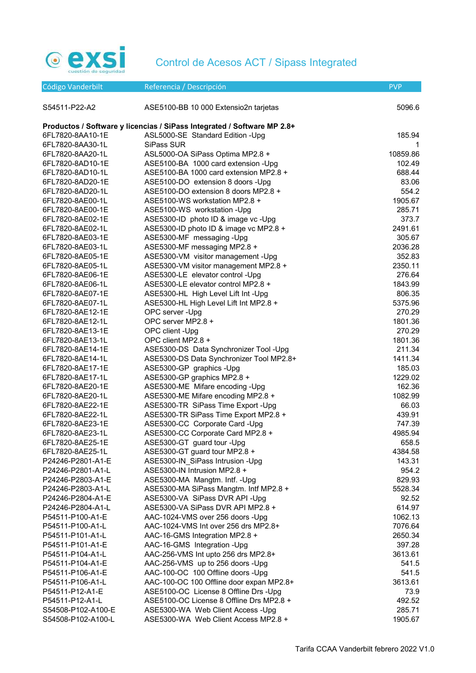

| Código Vanderbilt  | Referencia / Descripción                                                                                    | <b>PVP</b> |
|--------------------|-------------------------------------------------------------------------------------------------------------|------------|
|                    |                                                                                                             |            |
| S54511-P22-A2      | ASE5100-BB 10 000 Extensio2n tarjetas                                                                       | 5096.6     |
|                    |                                                                                                             |            |
| 6FL7820-8AA10-1E   | Productos / Software y licencias / SiPass Integrated / Software MP 2.8+<br>ASL5000-SE Standard Edition -Upg | 185.94     |
| 6FL7820-8AA30-1L   | SiPass SUR                                                                                                  | 1          |
| 6FL7820-8AA20-1L   | ASL5000-OA SiPass Optima MP2.8 +                                                                            | 10859.86   |
| 6FL7820-8AD10-1E   | ASE5100-BA 1000 card extension -Upg                                                                         | 102.49     |
| 6FL7820-8AD10-1L   | ASE5100-BA 1000 card extension MP2.8 +                                                                      | 688.44     |
| 6FL7820-8AD20-1E   | ASE5100-DO extension 8 doors -Upg                                                                           | 83.06      |
| 6FL7820-8AD20-1L   | ASE5100-DO extension 8 doors MP2.8 +                                                                        | 554.2      |
| 6FL7820-8AE00-1L   | ASE5100-WS workstation MP2.8 +                                                                              | 1905.67    |
| 6FL7820-8AE00-1E   | ASE5100-WS workstation -Upg                                                                                 | 285.71     |
| 6FL7820-8AE02-1E   | ASE5300-ID photo ID & image vc -Upg                                                                         | 373.7      |
| 6FL7820-8AE02-1L   | ASE5300-ID photo ID & image vc MP2.8 +                                                                      | 2491.61    |
| 6FL7820-8AE03-1E   | ASE5300-MF messaging -Upg                                                                                   | 305.67     |
| 6FL7820-8AE03-1L   | ASE5300-MF messaging MP2.8 +                                                                                | 2036.28    |
| 6FL7820-8AE05-1E   | ASE5300-VM visitor management -Upg                                                                          | 352.83     |
| 6FL7820-8AE05-1L   | ASE5300-VM visitor management MP2.8 +                                                                       | 2350.11    |
| 6FL7820-8AE06-1E   | ASE5300-LE elevator control -Upg                                                                            | 276.64     |
| 6FL7820-8AE06-1L   | ASE5300-LE elevator control MP2.8 +                                                                         | 1843.99    |
| 6FL7820-8AE07-1E   | ASE5300-HL High Level Lift Int -Upg                                                                         | 806.35     |
| 6FL7820-8AE07-1L   | ASE5300-HL High Level Lift Int MP2.8 +                                                                      | 5375.96    |
| 6FL7820-8AE12-1E   | OPC server -Upg                                                                                             | 270.29     |
| 6FL7820-8AE12-1L   | OPC server MP2.8 +                                                                                          | 1801.36    |
| 6FL7820-8AE13-1E   | OPC client -Upg                                                                                             | 270.29     |
| 6FL7820-8AE13-1L   | OPC client MP2.8 +                                                                                          | 1801.36    |
| 6FL7820-8AE14-1E   | ASE5300-DS Data Synchronizer Tool -Upg                                                                      | 211.34     |
| 6FL7820-8AE14-1L   | ASE5300-DS Data Synchronizer Tool MP2.8+                                                                    | 1411.34    |
| 6FL7820-8AE17-1E   | ASE5300-GP graphics -Upg                                                                                    | 185.03     |
| 6FL7820-8AE17-1L   | ASE5300-GP graphics MP2.8 +                                                                                 | 1229.02    |
| 6FL7820-8AE20-1E   | ASE5300-ME Mifare encoding -Upg                                                                             | 162.36     |
| 6FL7820-8AE20-1L   | ASE5300-ME Mifare encoding MP2.8 +                                                                          | 1082.99    |
| 6FL7820-8AE22-1E   | ASE5300-TR SiPass Time Export - Upg                                                                         | 66.03      |
| 6FL7820-8AE22-1L   | ASE5300-TR SiPass Time Export MP2.8 +                                                                       | 439.91     |
| 6FL7820-8AE23-1E   | ASE5300-CC Corporate Card -Upg                                                                              | 747.39     |
| 6FL7820-8AE23-1L   | ASE5300-CC Corporate Card MP2.8 +                                                                           | 4985.94    |
| 6FL7820-8AE25-1E   | ASE5300-GT guard tour -Upg                                                                                  | 658.5      |
| 6FL7820-8AE25-1L   | ASE5300-GT guard tour MP2.8 +                                                                               | 4384.58    |
| P24246-P2801-A1-E  | ASE5300-IN_SiPass Intrusion -Upg                                                                            | 143.31     |
| P24246-P2801-A1-L  | ASE5300-IN Intrusion MP2.8 +                                                                                | 954.2      |
| P24246-P2803-A1-E  | ASE5300-MA Mangtm. Intf. - Upg                                                                              | 829.93     |
| P24246-P2803-A1-L  | ASE5300-MA SiPass Mangtm. Intf MP2.8 +                                                                      | 5528.34    |
| P24246-P2804-A1-E  | ASE5300-VA SiPass DVR API - Upg                                                                             | 92.52      |
| P24246-P2804-A1-L  | ASE5300-VA SiPass DVR API MP2.8 +                                                                           | 614.97     |
| P54511-P100-A1-E   | AAC-1024-VMS over 256 doors -Upg                                                                            | 1062.13    |
| P54511-P100-A1-L   | AAC-1024-VMS Int over 256 drs MP2.8+                                                                        | 7076.64    |
| P54511-P101-A1-L   | AAC-16-GMS Integration MP2.8 +                                                                              | 2650.34    |
| P54511-P101-A1-E   | AAC-16-GMS Integration -Upg                                                                                 | 397.28     |
| P54511-P104-A1-L   | AAC-256-VMS Int upto 256 drs MP2.8+                                                                         | 3613.61    |
| P54511-P104-A1-E   | AAC-256-VMS up to 256 doors -Upg                                                                            | 541.5      |
| P54511-P106-A1-E   | AAC-100-OC 100 Offline doors -Upg                                                                           | 541.5      |
| P54511-P106-A1-L   | AAC-100-OC 100 Offline door expan MP2.8+                                                                    | 3613.61    |
| P54511-P12-A1-E    | ASE5100-OC License 8 Offline Drs - Upg                                                                      | 73.9       |
| P54511-P12-A1-L    | ASE5100-OC License 8 Offline Drs MP2.8 +                                                                    | 492.52     |
| S54508-P102-A100-E | ASE5300-WA Web Client Access -Upg                                                                           | 285.71     |
| S54508-P102-A100-L | ASE5300-WA Web Client Access MP2.8 +                                                                        | 1905.67    |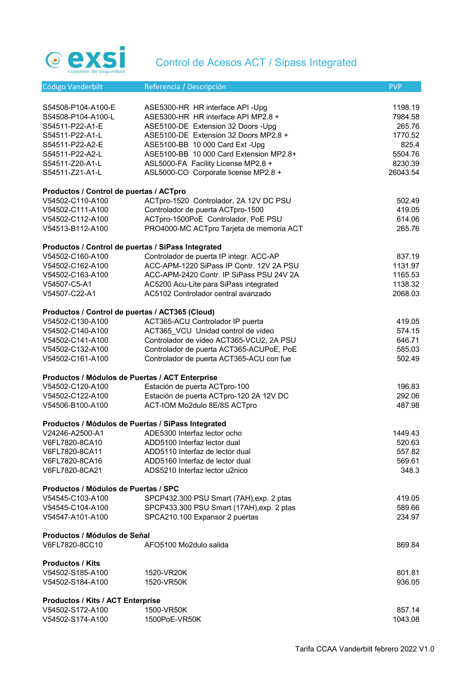

| Código Vanderbilt                                     | Referencia / Descripción                                                | <b>PVP</b>          |
|-------------------------------------------------------|-------------------------------------------------------------------------|---------------------|
|                                                       |                                                                         |                     |
| S54508-P104-A100-E                                    | ASE5300-HR HR interface API -Upg                                        | 1198.19             |
| S54508-P104-A100-L                                    | ASE5300-HR HR interface API MP2.8 +                                     | 7984.58             |
| S54511-P22-A1-E                                       | ASE5100-DE Extension 32 Doors - Upg                                     | 265.76              |
| S54511-P22-A1-L                                       | ASE5100-DE Extension 32 Doors MP2.8 +                                   | 1770.52             |
| S54511-P22-A2-E                                       | ASE5100-BB 10 000 Card Ext - Upg                                        | 825.4               |
|                                                       | ASE5100-BB 10 000 Card Extension MP2.8+                                 | 5504.76             |
| S54511-P22-A2-L                                       |                                                                         |                     |
| S54511-Z20-A1-L                                       | ASL5000-FA Facility License MP2.8 +                                     | 8230.39<br>26043.54 |
| S54511-Z21-A1-L                                       | ASL5000-CO Corporate license MP2.8 +                                    |                     |
| Productos / Control de puertas / ACTpro               |                                                                         |                     |
| V54502-C110-A100                                      | ACTpro-1520 Controlador, 2A 12V DC PSU                                  | 502.49              |
| V54502-C111-A100                                      | Controlador de puerta ACTpro-1500                                       | 419.05              |
| V54502-C112-A100                                      | ACTpro-1500PoE Controlador, PoE PSU                                     | 614.06              |
| V54513-B112-A100                                      | PRO4000-MC ACTpro Tarjeta de memoria ACT                                | 265.76              |
|                                                       |                                                                         |                     |
| Productos / Control de puertas / SiPass Integrated    |                                                                         |                     |
| V54502-C160-A100                                      | Controlador de puerta IP integr. ACC-AP                                 | 837.19              |
| V54502-C162-A100                                      | ACC-APM-1220 SiPass IP Contr. 12V 2A PSU                                | 1131.97             |
| V54502-C163-A100                                      | ACC-APM-2420 Contr. IP SiPass PSU 24V 2A                                | 1165.53             |
| V54507-C5-A1                                          | AC5200 Acu-Lite para SiPass integrated                                  | 1138.32             |
| V54507-C22-A1                                         | AC5102 Controlador central avanzado                                     | 2068.03             |
|                                                       |                                                                         |                     |
| Productos / Control de puertas / ACT365 (Cloud)       |                                                                         |                     |
| V54502-C130-A100                                      | ACT365-ACU Controlador IP puerta                                        | 419.05              |
| V54502-C140-A100                                      | ACT365 VCU Unidad control de video                                      | 574.15              |
| V54502-C141-A100                                      | Controlador de video ACT365-VCU2, 2A PSU                                | 646.71              |
| V54502-C132-A100                                      | Controlador de puerta ACT365-ACUPoE, PoE                                | 585.03              |
| V54502-C161-A100                                      | Controlador de puerta ACT365-ACU con fue                                | 502.49              |
| Productos / Módulos de Puertas / ACT Enterprise       |                                                                         |                     |
| V54502-C120-A100                                      | Estación de puerta ACTpro-100                                           | 196.83              |
|                                                       |                                                                         |                     |
| V54502-C122-A100                                      | Estación de puerta ACTpro-120 2A 12V DC<br>ACT-IOM Mo2dulo 8E/8S ACTpro | 292.06              |
| V54506-B100-A100                                      |                                                                         | 487.98              |
| Productos / Módulos de Puertas / SiPass Integrated    |                                                                         |                     |
| V24246-A2500-A1                                       | ADE5300 Interfaz lector ocho                                            | 1449.43             |
| V6FL7820-8CA10                                        | ADD5100 Interfaz lector dual                                            | 520.63              |
| V6FL7820-8CA11                                        | ADD5110 Interfaz de lector dual                                         | 557.82              |
| V6FL7820-8CA16                                        | ADD5160 Interfaz de lector dual                                         | 569.61              |
| V6FL7820-8CA21                                        | ADS5210 Interfaz lector u2nico                                          | 348.3               |
|                                                       |                                                                         |                     |
| Productos / Módulos de Puertas / SPC                  |                                                                         |                     |
| V54545-C103-A100                                      | SPCP432.300 PSU Smart (7AH), exp. 2 ptas                                | 419.05              |
| V54545-C104-A100                                      | SPCP433.300 PSU Smart (17AH), exp. 2 ptas                               | 589.66              |
| V54547-A101-A100                                      | SPCA210.100 Expansor 2 puertas                                          | 234.97              |
| Productos / Módulos de Señal                          |                                                                         |                     |
| V6FL7820-8CC10                                        | AFO5100 Mo2dulo salida                                                  | 869.84              |
|                                                       |                                                                         |                     |
| <b>Productos / Kits</b>                               |                                                                         |                     |
| V54502-S185-A100                                      | 1520-VR20K                                                              | 801.81              |
| V54502-S184-A100                                      | 1520-VR50K                                                              | 936.05              |
|                                                       |                                                                         |                     |
| Productos / Kits / ACT Enterprise<br>V54502-S172-A100 | 1500-VR50K                                                              | 857.14              |
| V54502-S174-A100                                      |                                                                         | 1043.08             |
|                                                       | 1500PoE-VR50K                                                           |                     |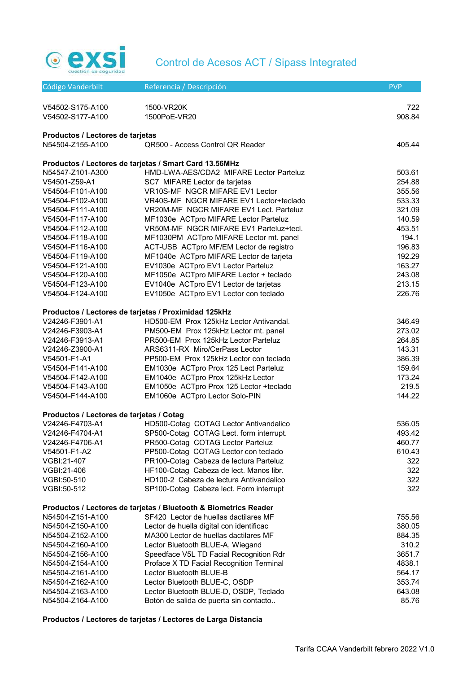

| Código Vanderbilt                                    | Referencia / Descripción                                                     | <b>PVP</b>       |
|------------------------------------------------------|------------------------------------------------------------------------------|------------------|
|                                                      |                                                                              |                  |
| V54502-S175-A100<br>V54502-S177-A100                 | 1500-VR20K<br>1500PoE-VR20                                                   | 722<br>908.84    |
|                                                      |                                                                              |                  |
| Productos / Lectores de tarjetas                     |                                                                              |                  |
| N54504-Z155-A100                                     | QR500 - Access Control QR Reader                                             | 405.44           |
|                                                      | Productos / Lectores de tarjetas / Smart Card 13.56MHz                       |                  |
| N54547-Z101-A300                                     | HMD-LWA-AES/CDA2 MIFARE Lector Parteluz                                      | 503.61           |
| V54501-Z59-A1                                        | SC7 MIFARE Lector de tarjetas                                                | 254.88           |
| V54504-F101-A100                                     | VR10S-MF NGCR MIFARE EV1 Lector                                              | 355.56           |
| V54504-F102-A100                                     | VR40S-MF NGCR MIFARE EV1 Lector+teclado                                      | 533.33           |
| V54504-F111-A100                                     | VR20M-MF NGCR MIFARE EV1 Lect. Parteluz                                      | 321.09           |
| V54504-F117-A100                                     | MF1030e ACTpro MIFARE Lector Parteluz                                        | 140.59           |
| V54504-F112-A100                                     | VR50M-MF NGCR MIFARE EV1 Parteluz+tecl.                                      | 453.51           |
| V54504-F118-A100                                     | MF1030PM ACTpro MIFARE Lector mt. panel                                      | 194.1            |
| V54504-F116-A100                                     | ACT-USB ACTpro MF/EM Lector de registro                                      | 196.83           |
| V54504-F119-A100                                     | MF1040e ACTpro MIFARE Lector de tarjeta                                      | 192.29           |
| V54504-F121-A100                                     | EV1030e ACTpro EV1 Lector Parteluz<br>MF1050e ACTpro MIFARE Lector + teclado | 163.27<br>243.08 |
| V54504-F120-A100<br>V54504-F123-A100                 | EV1040e ACTpro EV1 Lector de tarjetas                                        | 213.15           |
| V54504-F124-A100                                     | EV1050e ACTpro EV1 Lector con teclado                                        | 226.76           |
|                                                      |                                                                              |                  |
| Productos / Lectores de tarjetas / Proximidad 125kHz |                                                                              |                  |
| V24246-F3901-A1                                      | HD500-EM Prox 125kHz Lector Antivandal.                                      | 346.49           |
| V24246-F3903-A1                                      | PM500-EM Prox 125kHz Lector mt. panel                                        | 273.02           |
| V24246-F3913-A1                                      | PR500-EM Prox 125kHz Lector Parteluz                                         | 264.85           |
| V24246-Z3900-A1                                      | ARS6311-RX Miro/CerPass Lector                                               | 143.31           |
| V54501-F1-A1                                         | PP500-EM Prox 125kHz Lector con teclado                                      | 386.39           |
| V54504-F141-A100                                     | EM1030e ACTpro Prox 125 Lect Parteluz                                        | 159.64           |
| V54504-F142-A100                                     | EM1040e ACTpro Prox 125kHz Lector                                            | 173.24           |
| V54504-F143-A100                                     | EM1050e ACTpro Prox 125 Lector +teclado                                      | 219.5            |
| V54504-F144-A100                                     | EM1060e ACTpro Lector Solo-PIN                                               | 144.22           |
| Productos / Lectores de tarjetas / Cotag             |                                                                              |                  |
| V24246-F4703-A1                                      | HD500-Cotag COTAG Lector Antivandalico                                       | 536.05           |
| V24246-F4704-A1                                      | SP500-Cotag COTAG Lect. form interrupt.                                      | 493.42           |
| V24246-F4706-A1                                      | PR500-Cotag COTAG Lector Parteluz                                            | 460.77           |
| V54501-F1-A2                                         | PP500-Cotag COTAG Lector con teclado                                         | 610.43           |
| VGBI:21-407                                          | PR100-Cotag Cabeza de lectura Parteluz                                       | 322              |
| VGBI:21-406                                          | HF100-Cotag Cabeza de lect. Manos libr.                                      | 322              |
| VGBI:50-510                                          | HD100-2 Cabeza de lectura Antivandalico                                      | 322              |
| VGBI:50-512                                          | SP100-Cotag Cabeza lect. Form interrupt                                      | 322              |
|                                                      | Productos / Lectores de tarjetas / Bluetooth & Biometrics Reader             |                  |
| N54504-Z151-A100                                     | SF420 Lector de huellas dactilares MF                                        | 755.56           |
| N54504-Z150-A100                                     | Lector de huella digital con identificac                                     | 380.05           |
| N54504-Z152-A100                                     | MA300 Lector de huellas dactilares MF                                        | 884.35           |
| N54504-Z160-A100                                     | Lector Bluetooth BLUE-A, Wiegand                                             | 310.2            |
| N54504-Z156-A100                                     | Speedface V5L TD Facial Recognition Rdr                                      | 3651.7           |
| N54504-Z154-A100                                     | Proface X TD Facial Recognition Terminal                                     | 4838.1           |
| N54504-Z161-A100                                     | Lector Bluetooth BLUE-B                                                      | 564.17           |
| N54504-Z162-A100                                     | Lector Bluetooth BLUE-C, OSDP                                                | 353.74           |
| N54504-Z163-A100                                     | Lector Bluetooth BLUE-D, OSDP, Teclado                                       | 643.08           |
| N54504-Z164-A100                                     | Botón de salida de puerta sin contacto                                       | 85.76            |

# Productos / Lectores de tarjetas / Lectores de Larga Distancia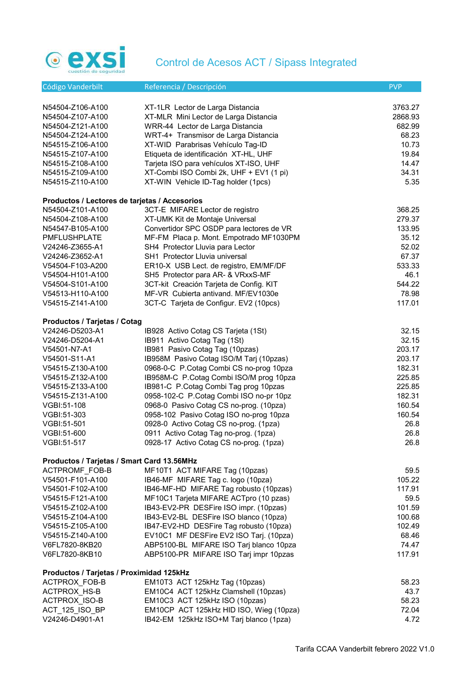

| Código Vanderbilt                             | Referencia / Descripción                                            | <b>PVP</b> |
|-----------------------------------------------|---------------------------------------------------------------------|------------|
|                                               |                                                                     |            |
| N54504-Z106-A100                              | XT-1LR Lector de Larga Distancia                                    | 3763.27    |
| N54504-Z107-A100                              | XT-MLR Mini Lector de Larga Distancia                               | 2868.93    |
| N54504-Z121-A100                              | WRR-44 Lector de Larga Distancia                                    | 682.99     |
| N54504-Z124-A100                              | WRT-4+ Transmisor de Larga Distancia                                | 68.23      |
| N54515-Z106-A100                              | XT-WID Parabrisas Vehículo Tag-ID                                   | 10.73      |
| N54515-Z107-A100                              | Etiqueta de identificación XT-HL, UHF                               | 19.84      |
| N54515-Z108-A100                              | Tarjeta ISO para vehículos XT-ISO, UHF                              | 14.47      |
| N54515-Z109-A100                              | XT-Combi ISO Combi 2k, UHF + EV1 (1 pi)                             | 34.31      |
| N54515-Z110-A100                              | XT-WIN Vehicle ID-Tag holder (1pcs)                                 | 5.35       |
| Productos / Lectores de tarjetas / Accesorios |                                                                     |            |
| N54504-Z101-A100                              | 3CT-E MIFARE Lector de registro                                     | 368.25     |
| N54504-Z108-A100                              | XT-UMK Kit de Montaje Universal                                     | 279.37     |
| N54547-B105-A100                              | Convertidor SPC OSDP para lectores de VR                            | 133.95     |
| <b>PMFLUSHPLATE</b>                           | MF-FM Placa p. Mont. Empotrado MF1030PM                             | 35.12      |
| V24246-Z3655-A1                               | SH4 Protector Lluvia para Lector                                    | 52.02      |
| V24246-Z3652-A1                               | SH1 Protector Lluvia universal                                      | 67.37      |
| V54504-F103-A200                              | ER10-X USB Lect. de registro, EM/MF/DF                              | 533.33     |
| V54504-H101-A100                              | SH5 Protector para AR- & VRxxS-MF                                   | 46.1       |
| V54504-S101-A100                              | 3CT-kit Creación Tarjeta de Config. KIT                             | 544.22     |
| V54513-H110-A100                              | MF-VR Cubierta antivand. MF/EV1030e                                 | 78.98      |
| V54515-Z141-A100                              | 3CT-C Tarjeta de Configur. EV2 (10pcs)                              | 117.01     |
|                                               |                                                                     |            |
| Productos / Tarjetas / Cotag                  |                                                                     | 32.15      |
| V24246-D5203-A1<br>V24246-D5204-A1            | IB928 Activo Cotag CS Tarjeta (1St)<br>IB911 Activo Cotag Tag (1St) | 32.15      |
| V54501-N7-A1                                  | IB981 Pasivo Cotag Tag (10pzas)                                     | 203.17     |
| V54501-S11-A1                                 | IB958M Pasivo Cotag ISO/M Tarj (10pzas)                             | 203.17     |
| V54515-Z130-A100                              | 0968-0-C P.Cotag Combi CS no-prog 10pza                             | 182.31     |
| V54515-Z132-A100                              | IB958M-C P.Cotag Combi ISO/M prog 10pza                             | 225.85     |
| V54515-Z133-A100                              | IB981-C P.Cotag Combi Tag prog 10pzas                               | 225.85     |
| V54515-Z131-A100                              | 0958-102-C P.Cotag Combi ISO no-pr 10pz                             | 182.31     |
| VGBI:51-108                                   | 0968-0 Pasivo Cotag CS no-prog. (10pza)                             | 160.54     |
| VGBI:51-303                                   | 0958-102 Pasivo Cotag ISO no-prog 10pza                             | 160.54     |
| VGBI:51-501                                   | 0928-0 Activo Cotag CS no-prog. (1pza)                              | 26.8       |
| VGBI:51-600                                   | 0911 Activo Cotag Tag no-prog. (1pza)                               | 26.8       |
| VGBI:51-517                                   | 0928-17 Activo Cotag CS no-prog. (1pza)                             | 26.8       |
|                                               |                                                                     |            |
| Productos / Tarjetas / Smart Card 13.56MHz    |                                                                     |            |
| ACTPROMF_FOB-B                                | MF10T1 ACT MIFARE Tag (10pzas)                                      | 59.5       |
| V54501-F101-A100                              | IB46-MF MIFARE Tag c. logo (10pza)                                  | 105.22     |
| V54501-F102-A100                              | IB46-MF-HD MIFARE Tag robusto (10pzas)                              | 117.91     |
| V54515-F121-A100                              | MF10C1 Tarjeta MIFARE ACTpro (10 pzas)                              | 59.5       |
| V54515-Z102-A100                              | IB43-EV2-PR DESFire ISO impr. (10pzas)                              | 101.59     |
| V54515-Z104-A100                              | IB43-EV2-BL DESFire ISO blanco (10pza)                              | 100.68     |
| V54515-Z105-A100                              | IB47-EV2-HD DESFire Tag robusto (10pza)                             | 102.49     |
| V54515-Z140-A100                              | EV10C1 MF DESFire EV2 ISO Tarj. (10pza)                             | 68.46      |
| V6FL7820-8KB20                                | ABP5100-BL MIFARE ISO Tarj blanco 10pza                             | 74.47      |
| V6FL7820-8KB10                                | ABP5100-PR MIFARE ISO Tarj impr 10pzas                              | 117.91     |
| Productos / Tarjetas / Proximidad 125kHz      |                                                                     |            |
| ACTPROX_FOB-B                                 | EM10T3 ACT 125kHz Tag (10pzas)                                      | 58.23      |
| ACTPROX HS-B                                  | EM10C4 ACT 125kHz Clamshell (10pzas)                                | 43.7       |
| ACTPROX_ISO-B                                 | EM10C3 ACT 125kHz ISO (10pzas)                                      | 58.23      |
| ACT_125_ISO_BP                                | EM10CP ACT 125kHz HID ISO, Wieg (10pza)                             | 72.04      |
| V24246-D4901-A1                               | IB42-EM 125kHz ISO+M Tarj blanco (1pza)                             | 4.72       |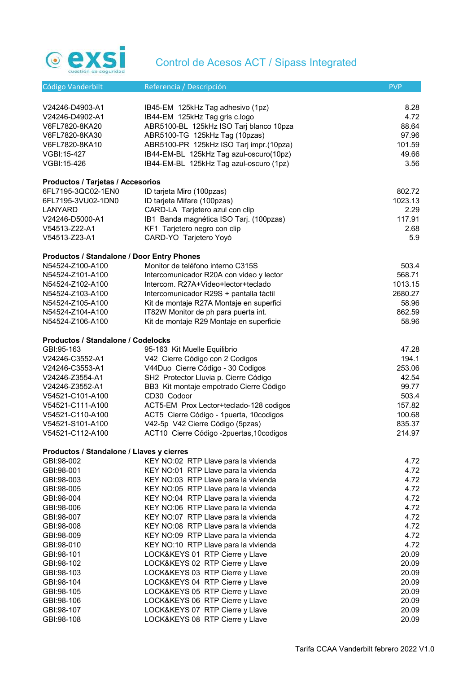

| Código Vanderbilt                          | Referencia / Descripción                  | <b>PVP</b> |
|--------------------------------------------|-------------------------------------------|------------|
|                                            |                                           |            |
| V24246-D4903-A1                            | IB45-EM 125kHz Tag adhesivo (1pz)         | 8.28       |
| V24246-D4902-A1                            | IB44-EM 125kHz Tag gris c.logo            | 4.72       |
| V6FL7820-8KA20                             | ABR5100-BL 125kHz ISO Tarj blanco 10pza   | 88.64      |
| V6FL7820-8KA30                             | ABR5100-TG 125kHz Tag (10pzas)            | 97.96      |
| V6FL7820-8KA10                             | ABR5100-PR 125kHz ISO Tarj impr.(10pza)   | 101.59     |
| VGBI:15-427                                | IB44-EM-BL 125kHz Tag azul-oscuro(10pz)   | 49.66      |
| VGBI:15-426                                | IB44-EM-BL 125kHz Tag azul-oscuro (1pz)   | 3.56       |
| Productos / Tarjetas / Accesorios          |                                           |            |
| 6FL7195-3QC02-1EN0                         | ID tarjeta Miro (100pzas)                 | 802.72     |
| 6FL7195-3VU02-1DN0                         | ID tarjeta Mifare (100pzas)               | 1023.13    |
| LANYARD                                    | CARD-LA Tarjetero azul con clip           | 2.29       |
| V24246-D5000-A1                            | IB1 Banda magnética ISO Tarj. (100pzas)   | 117.91     |
| V54513-Z22-A1                              | KF1 Tarjetero negro con clip              | 2.68       |
| V54513-Z23-A1                              | CARD-YO Tarjetero Yoyó                    | 5.9        |
| Productos / Standalone / Door Entry Phones |                                           |            |
| N54524-Z100-A100                           | Monitor de teléfono interno C315S         | 503.4      |
| N54524-Z101-A100                           | Intercomunicador R20A con video y lector  | 568.71     |
| N54524-Z102-A100                           | Intercom. R27A+Video+lector+teclado       | 1013.15    |
| N54524-Z103-A100                           | Intercomunicador R29S + pantalla táctil   | 2680.27    |
| N54524-Z105-A100                           | Kit de montaje R27A Montaje en superfici  | 58.96      |
| N54524-Z104-A100                           | IT82W Monitor de ph para puerta int.      | 862.59     |
| N54524-Z106-A100                           | Kit de montaje R29 Montaje en superficie  | 58.96      |
|                                            |                                           |            |
| Productos / Standalone / Codelocks         |                                           |            |
| GBI:95-163                                 | 95-163 Kit Muelle Equilibrio              | 47.28      |
| V24246-C3552-A1                            | V42 Cierre Código con 2 Codigos           | 194.1      |
| V24246-C3553-A1                            | V44Duo Cierre Código - 30 Codigos         | 253.06     |
| V24246-Z3554-A1                            | SH2 Protector Lluvia p. Cierre Código     | 42.54      |
| V24246-Z3552-A1                            | BB3 Kit montaje empotrado Cierre Código   | 99.77      |
| V54521-C101-A100                           | CD30 Codoor                               | 503.4      |
| V54521-C111-A100                           | ACT5-EM Prox Lector+teclado-128 codigos   | 157.82     |
| V54521-C110-A100                           | ACT5 Cierre Código - 1 puerta, 10 codigos | 100.68     |
| V54521-S101-A100                           | V42-5p V42 Cierre Código (5pzas)          | 835.37     |
| V54521-C112-A100                           | ACT10 Cierre Código -2puertas, 10codigos  | 214.97     |
| Productos / Standalone / Llaves y cierres  |                                           |            |
| GBI:98-002                                 | KEY NO:02 RTP Llave para la vivienda      | 4.72       |
| GBI:98-001                                 | KEY NO:01 RTP Llave para la vivienda      | 4.72       |
| GBI:98-003                                 | KEY NO:03 RTP Llave para la vivienda      | 4.72       |
| GBI:98-005                                 | KEY NO:05 RTP Llave para la vivienda      | 4.72       |
| GBI:98-004                                 | KEY NO:04 RTP Llave para la vivienda      | 4.72       |
| GBI:98-006                                 | KEY NO:06 RTP Llave para la vivienda      | 4.72       |
| GBI:98-007                                 | KEY NO:07 RTP Llave para la vivienda      | 4.72       |
| GBI:98-008                                 | KEY NO:08 RTP Llave para la vivienda      | 4.72       |
| GBI:98-009                                 | KEY NO:09 RTP Llave para la vivienda      | 4.72       |
| GBI:98-010                                 | KEY NO:10 RTP Llave para la vivienda      | 4.72       |
| GBI:98-101                                 | LOCK&KEYS 01 RTP Cierre y Llave           | 20.09      |
| GBI:98-102                                 | LOCK&KEYS 02 RTP Cierre y Llave           | 20.09      |
| GBI:98-103                                 | LOCK&KEYS 03 RTP Cierre y Llave           | 20.09      |
| GBI:98-104                                 | LOCK&KEYS 04 RTP Cierre y Llave           | 20.09      |
| GBI:98-105                                 | LOCK&KEYS 05 RTP Cierre y Llave           | 20.09      |
| GBI:98-106                                 | LOCK&KEYS 06 RTP Cierre y Llave           | 20.09      |
| GBI:98-107                                 | LOCK&KEYS 07 RTP Cierre y Llave           | 20.09      |
| GBI:98-108                                 | LOCK&KEYS 08 RTP Cierre y Llave           | 20.09      |